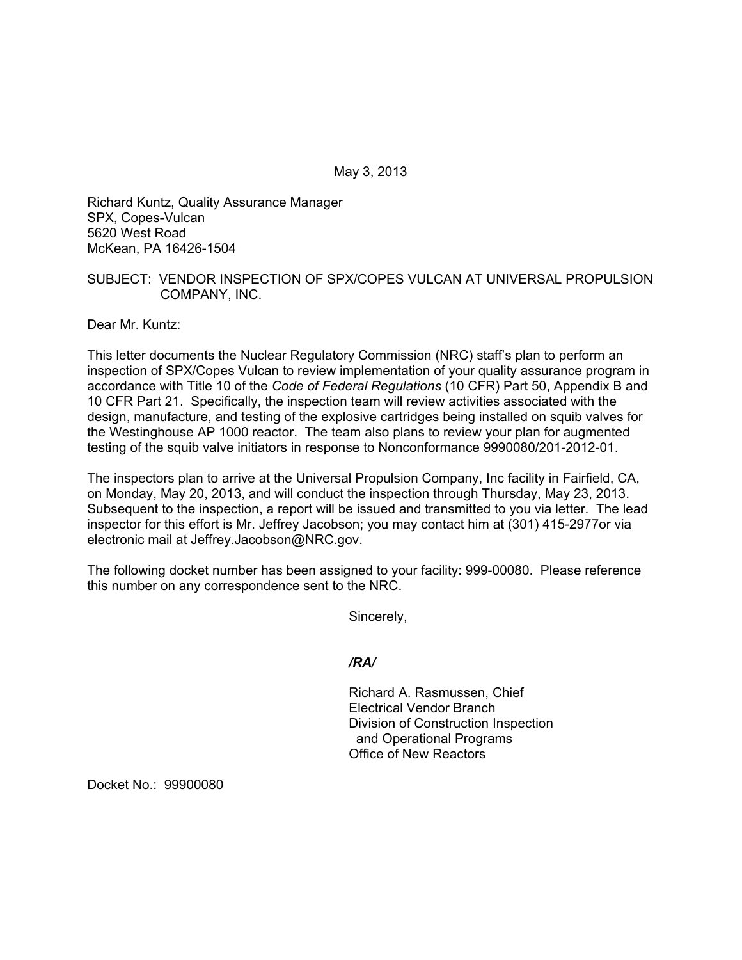May 3, 2013

Richard Kuntz, Quality Assurance Manager SPX, Copes-Vulcan 5620 West Road McKean, PA 16426-1504

## SUBJECT: VENDOR INSPECTION OF SPX/COPES VULCAN AT UNIVERSAL PROPULSION COMPANY, INC.

Dear Mr. Kuntz:

This letter documents the Nuclear Regulatory Commission (NRC) staff's plan to perform an inspection of SPX/Copes Vulcan to review implementation of your quality assurance program in accordance with Title 10 of the *Code of Federal Regulations* (10 CFR) Part 50, Appendix B and 10 CFR Part 21. Specifically, the inspection team will review activities associated with the design, manufacture, and testing of the explosive cartridges being installed on squib valves for the Westinghouse AP 1000 reactor. The team also plans to review your plan for augmented testing of the squib valve initiators in response to Nonconformance 9990080/201-2012-01.

The inspectors plan to arrive at the Universal Propulsion Company, Inc facility in Fairfield, CA, on Monday, May 20, 2013, and will conduct the inspection through Thursday, May 23, 2013. Subsequent to the inspection, a report will be issued and transmitted to you via letter. The lead inspector for this effort is Mr. Jeffrey Jacobson; you may contact him at (301) 415-2977or via electronic mail at Jeffrey.Jacobson@NRC.gov.

The following docket number has been assigned to your facility: 999-00080. Please reference this number on any correspondence sent to the NRC.

Sincerely,

*/RA/* 

Richard A. Rasmussen, Chief Electrical Vendor Branch Division of Construction Inspection and Operational Programs Office of New Reactors

Docket No.: 99900080